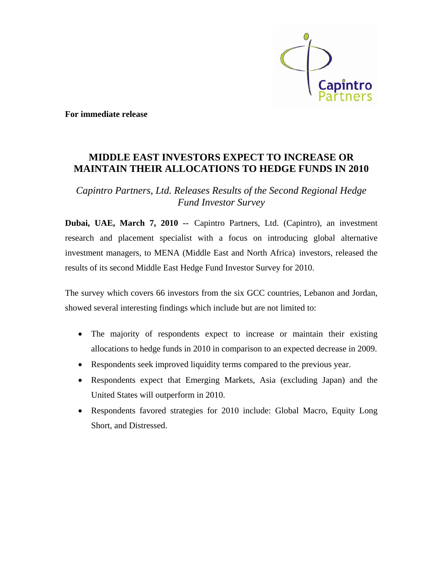

**For immediate release** 

## **MIDDLE EAST INVESTORS EXPECT TO INCREASE OR MAINTAIN THEIR ALLOCATIONS TO HEDGE FUNDS IN 2010**

*Capintro Partners, Ltd. Releases Results of the Second Regional Hedge Fund Investor Survey* 

**Dubai, UAE, March 7, 2010 --** Capintro Partners, Ltd. (Capintro), an investment research and placement specialist with a focus on introducing global alternative investment managers, to MENA (Middle East and North Africa) investors, released the results of its second Middle East Hedge Fund Investor Survey for 2010.

The survey which covers 66 investors from the six GCC countries, Lebanon and Jordan, showed several interesting findings which include but are not limited to:

- The majority of respondents expect to increase or maintain their existing allocations to hedge funds in 2010 in comparison to an expected decrease in 2009.
- Respondents seek improved liquidity terms compared to the previous year.
- Respondents expect that Emerging Markets, Asia (excluding Japan) and the United States will outperform in 2010.
- Respondents favored strategies for 2010 include: Global Macro, Equity Long Short, and Distressed.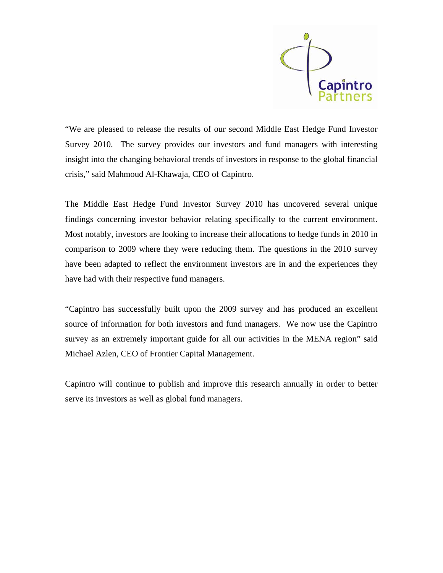

"We are pleased to release the results of our second Middle East Hedge Fund Investor Survey 2010. The survey provides our investors and fund managers with interesting insight into the changing behavioral trends of investors in response to the global financial crisis," said Mahmoud Al-Khawaja, CEO of Capintro.

The Middle East Hedge Fund Investor Survey 2010 has uncovered several unique findings concerning investor behavior relating specifically to the current environment. Most notably, investors are looking to increase their allocations to hedge funds in 2010 in comparison to 2009 where they were reducing them. The questions in the 2010 survey have been adapted to reflect the environment investors are in and the experiences they have had with their respective fund managers.

"Capintro has successfully built upon the 2009 survey and has produced an excellent source of information for both investors and fund managers. We now use the Capintro survey as an extremely important guide for all our activities in the MENA region" said Michael Azlen, CEO of Frontier Capital Management.

Capintro will continue to publish and improve this research annually in order to better serve its investors as well as global fund managers.